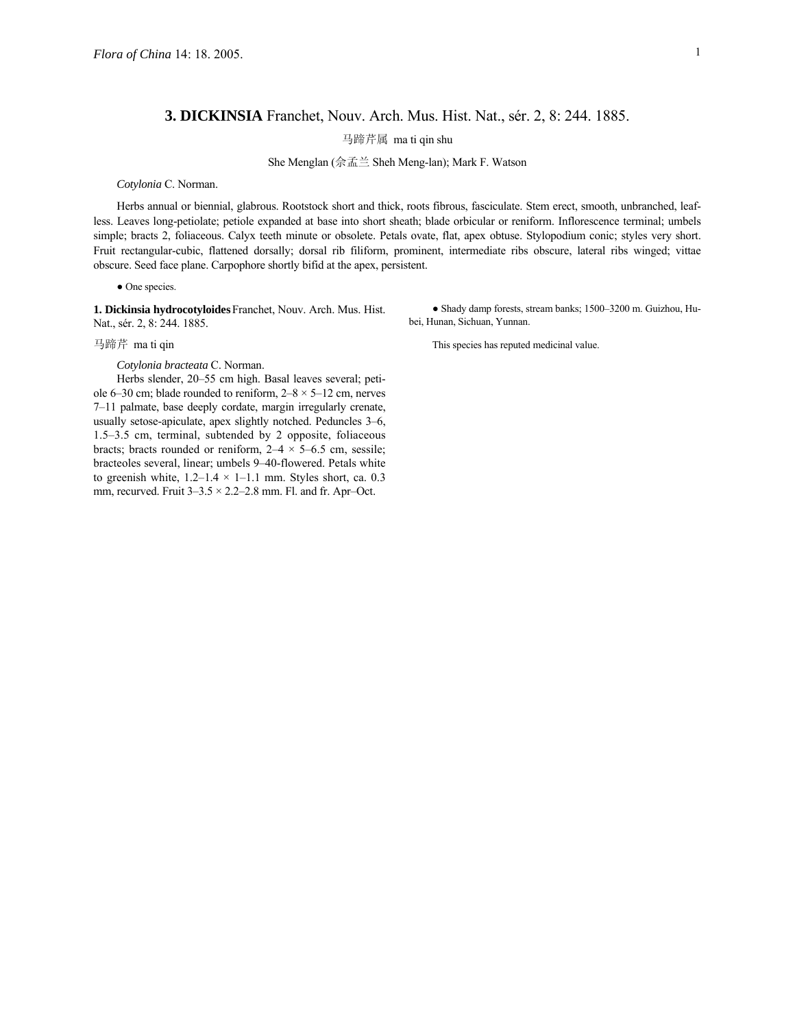## **3. DICKINSIA** Franchet, Nouv. Arch. Mus. Hist. Nat., sér. 2, 8: 244. 1885.

马蹄芹属 ma ti qin shu

She Menglan (佘孟兰 Sheh Meng-lan); Mark F. Watson

*Cotylonia* C. Norman.

Herbs annual or biennial, glabrous. Rootstock short and thick, roots fibrous, fasciculate. Stem erect, smooth, unbranched, leafless. Leaves long-petiolate; petiole expanded at base into short sheath; blade orbicular or reniform. Inflorescence terminal; umbels simple; bracts 2, foliaceous. Calyx teeth minute or obsolete. Petals ovate, flat, apex obtuse. Stylopodium conic; styles very short. Fruit rectangular-cubic, flattened dorsally; dorsal rib filiform, prominent, intermediate ribs obscure, lateral ribs winged; vittae obscure. Seed face plane. Carpophore shortly bifid at the apex, persistent.

● One species.

**1. Dickinsia hydrocotyloides**Franchet, Nouv. Arch. Mus. Hist. Nat., sér. 2, 8: 244. 1885.

*Cotylonia bracteata* C. Norman.

Herbs slender, 20-55 cm high. Basal leaves several; petiole 6–30 cm; blade rounded to reniform,  $2-8 \times 5-12$  cm, nerves 7–11 palmate, base deeply cordate, margin irregularly crenate, usually setose-apiculate, apex slightly notched. Peduncles 3–6, 1.5–3.5 cm, terminal, subtended by 2 opposite, foliaceous bracts; bracts rounded or reniform,  $2-4 \times 5-6.5$  cm, sessile; bracteoles several, linear; umbels 9-40-flowered. Petals white to greenish white,  $1.2-1.4 \times 1-1.1$  mm. Styles short, ca. 0.3 mm, recurved. Fruit  $3-3.5 \times 2.2-2.8$  mm. Fl. and fr. Apr-Oct.

• Shady damp forests, stream banks; 1500-3200 m. Guizhou, Hubei, Hunan, Sichuan, Yunnan.

马蹄芹 ma ti qin This species has reputed medicinal value.